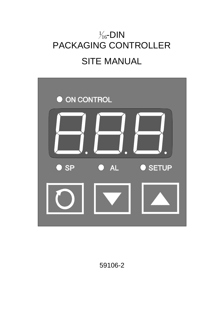# $\frac{1}{16}$ -DIN PACKAGING CONTROLLER SITE MANUAL



59106-2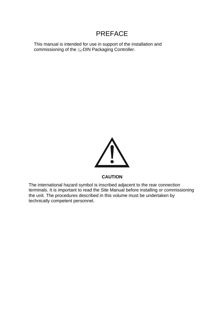# PREFACE

This manual is intended for use in support of the installation and commissioning of the  $\frac{1}{16}$ DIN Packaging Controller.



#### **CAUTION**

The international hazard symbol is inscribed adjacent to the rear connection terminals. It is important to read the Site Manual before installing or commissioning the unit. The procedures described in this volume must be undertaken by technically competent personnel.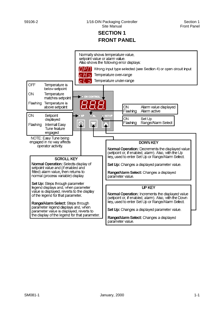## **SEC TION 1 FRONT PANEL**

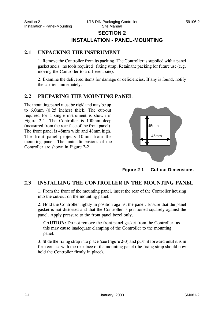## **SECTION 2 INSTALLATION - PANEL-MOUNTING**

#### **2.1 UNPACKING THE INSTRUMENT**

1. Remove the Controller from its packing. The Controller is supplied with a panel gas ket and a no tools required fixing strap. Retain the packing for future use (e.g. moving the Controller to a different site).

2. Examine the delivered items for damage or deficiencies. If any is found, notify the carrier immediately.

## **2.2 PREPARING THE MOUNTING PANEL**

The mounting panel must be rigid and may be up to 6.0mm (0.25 inches) thick. The cut-out required for a single instrument is shown in Figure 2-1. The Controller is 100mm deep (measured from the rear face of the front panel). The front panel is 48mm wide and 48mm high. The front panel projects 10mm from the mounting panel. The main dimensions of the Controller are shown in Figure 2-2.



**Figure 2-1 Cut-out Dimensions** 

## **2.3 INSTALLING THE CONTROLLER IN THE MOUNTING PANEL**

1. From the front of the mounting panel, insert the rear of the Controller housing into the cut-out on the mounting panel.

2. Hold the Controller lightly in position against the panel. Ensure that the panel gasket is not distorted and that the Controller is positioned squarely against the panel. Apply pressure to the front panel bezel only.

**CAUTION:** Do not remove the front panel gasket from the Controller, as this may cause inadequate clamping of the Controller to the mounting panel.

3. Slide the fixing strap into place (see Figure 2-3) and push it forward until it is in firm contact with the rear face of the mounting panel (the fixing strap should now hold the Controller firmly in place).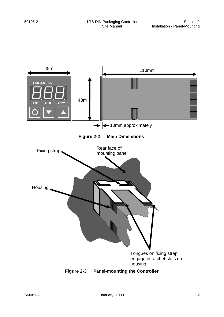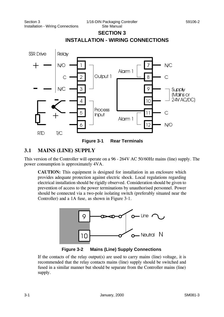# **SEC TION 3 INSTALLATION - WIRING CONNECTIONS**





## **3.1 MAINS (LINE) SUPPLY**

This version of the Controller will operate on a 96 - 264V AC 50/60Hz mains (line) supply. The power consumption is approximately 4VA.

**CAUTION:** This equipment is designed for installation in an enclosure which provides adequate protection against electric shock. Local regulations regarding electrical installation should be rigidly observed. Consideration should be given to prevention of access to the power terminations by unauthorised personnel. Power should be connected via a two-pole isolating switch (preferably situated near the Controller) and a 1A fuse, as shown in Figure 3-1.



**Figure 3-2 Mains (Line) Supply Connections** 

If the contacts of the relay output(s) are used to carry mains (line) voltage, it is recommended that the relay contacts mains (line) supply should be switched and fused in a similar manner but should be separate from the Controller mains (line) supply.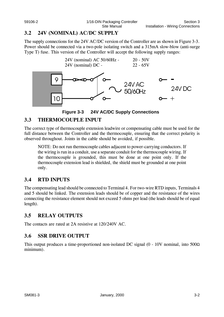## **3.2 24V (NOMINAL) AC/DC SUPPLY**

The supply connections for the 24V AC/DC version of the Controller are as shown in Figure 3-3. Power should be connected via a two-pole isolating switch and a 315mA slow-blow (anti-surge Type T) fuse. This version of the Controller will accept the following supply ranges:





## **3.3 THERMOCOUPLE INPUT**

The correct type of thermocouple extension leadwire or compensating cable must be used for the full distance between the Controller and the thermocouple, ensuring that the correct polarity is observed throughout. Joints in the cable should be avoided, if possible.

NOTE: Do not run thermocouple cables adjacent to power-carrying conductors. If the wiring is run in a conduit, use a separate conduit for the thermocouple wiring. If the thermocouple is grounded, this must be done at one point only. If the thermocouple extension lead is shielded, the shield must be grounded at one point only.

## **3.4 RTD INPUTS**

The compensating lead should be connected to Terminal 4. For two-wire RTD inputs, Terminals 4 and 5 should be linked. The extension leads should be of copper and the resistance of the wires connecting the resistance element should not exceed 5 ohms per lead (the leads should be of equal length).

## **3.5 RELAY OUTPUTS**

The contacts are rated at 2A resistive at 120/240V AC.

## **3.6 SSR DRIVE OUTPUT**

This output produces a time-proportioned non-isolated DC signal  $(0 - 10V$  nominal, into  $500\Omega$ minimum).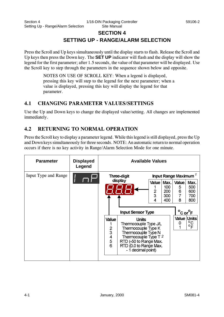## **SECTION 4 SETTING UP - RANGE/ALARM SELECTION**

Press the Scroll and Up keys simultaneously until the display starts to flash. Release the Scroll and Up keys then press the Down key. The **SET UP** indicator will flash and the display will show the legend for the first parameter; after 1.5 seconds, the value of that parameter will be displayed. Use the Scroll key to step through the parameters in the sequence shown below and opposite.

> NOTES ON USE OF SCROLL KEY: When a legend is displayed, pressing this key will step to the legend for the next parameter; when a value is displayed, pressing this key will display the legend for that parameter.

## **4.1 CHANGING PARAMETER VALUES/SETTINGS**

Use the Up and Down keys to change the displayed value/setting. All changes are implemented immediately.

## **4.2 RETURNING TO NORMAL OPERATION**

Press the Scroll key to display a parameter legend. While this legend is still displayed, press the Up and Down keys simultaneously for three seconds. NOTE: An automatic return to normal operation occurs if there is no key activity in Range/Alarm Selection Mode for one minute.

| <b>Parameter</b>     | <b>Displayed</b><br>Legend | <b>Available Values</b>                            |                                                                                                                                                                                        |                                  |                                         |                                                      |  |
|----------------------|----------------------------|----------------------------------------------------|----------------------------------------------------------------------------------------------------------------------------------------------------------------------------------------|----------------------------------|-----------------------------------------|------------------------------------------------------|--|
| Input Type and Range |                            | Three-digit                                        |                                                                                                                                                                                        | Input Range Maximum <sup>7</sup> |                                         |                                                      |  |
|                      |                            | display                                            | Value  <br>$\overline{2}$<br>3<br>4                                                                                                                                                    | Max.<br>100<br>200<br>300<br>400 | Value.<br>5<br>6<br>$\overline{7}$<br>8 | Max.<br>500<br>600<br>700<br>800                     |  |
|                      |                            |                                                    | <b>Input Sensor Type</b>                                                                                                                                                               |                                  | $\mathbf{o}$                            | $\overline{\mathsf{C}}$ or $\overline{\mathsf{C}}$ F |  |
|                      |                            | <b>Value</b><br>$\overline{2}$<br>3<br>4<br>5<br>6 | <b>Units</b><br>Thermocouple Type J/L<br>Thermocouple Type K<br>Thermocouple Type N<br>Thermocouple Type T 2<br>RTD (-50 to Range Max.<br>RTD (0.0 to Range Max.<br>- 1 decimal point) |                                  | 0                                       | Value Units<br>$^{\circ}$ C<br>$^{\circ}$ F          |  |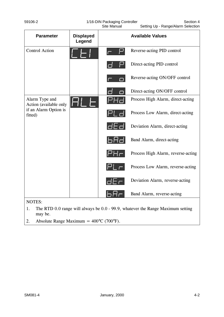| 59106-2 | 1/16-DIN Packaging Controller | Section 4                          |  |
|---------|-------------------------------|------------------------------------|--|
|         | Site Manual                   | Setting Up - Range/Alarm Selection |  |

Site Manual Setting Up - Range/Alarm Selection

| <b>Parameter</b>                         | <b>Displayed</b><br>Legend |                                  | <b>Available Values</b>            |
|------------------------------------------|----------------------------|----------------------------------|------------------------------------|
| <b>Control Action</b>                    |                            |                                  | Reverse-acting PID control         |
|                                          |                            |                                  | Direct-acting PID control          |
|                                          |                            |                                  | Reverse-acting ON/OFF control      |
|                                          |                            | F                                | Direct-acting ON/OFF control       |
| Alarm Type and<br>Action (available only |                            |                                  | Process High Alarm, direct-acting  |
| if an Alarm Option is<br>fitted)         |                            |                                  | Process Low Alarm, direct-acting   |
|                                          |                            | dbd                              | Deviation Alarm, direct-acting     |
|                                          |                            | 16 H d                           | Band Alarm, direct-acting          |
|                                          |                            | $\mathsf{H}\mathsf{H}\mathsf{H}$ | Process High Alarm, reverse-acting |
|                                          |                            | $H^{\prime}$ $\Gamma$            | Process Low Alarm, reverse-acting  |
|                                          |                            |                                  | Deviation Alarm, reverse-acting    |
|                                          |                            |                                  | Band Alarm, reverse-acting         |
| <b>NOTES:</b>                            |                            |                                  |                                    |

- 1. The RTD 0.0 range will always be 0.0 99.9, whatever the Range Maximum setting may be.
- 2. Absolute Range Maximum =  $400^{\circ}$ C (700°F).